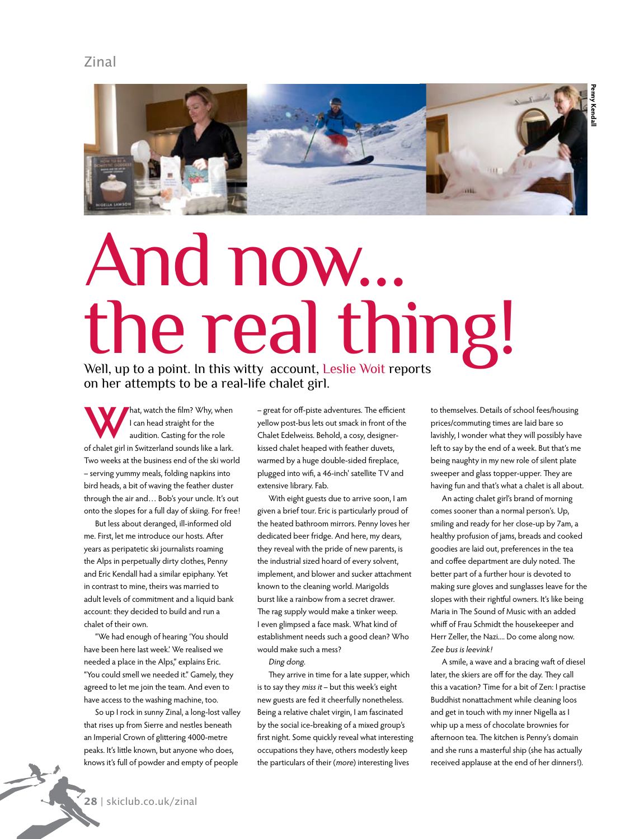

## And now… the real thing!

Well, up to a point. In this witty account, Leslie Woit reports on her attempts to be a real-life chalet girl.

**W**hat, watch the film? Why, when I can head straight for the audition. Casting for the role of chalet girl in Switzerland sounds like a lark. Two weeks at the business end of the ski world – serving yummy meals, folding napkins into bird heads, a bit of waving the feather duster through the air and… Bob's your uncle. It's out onto the slopes for a full day of skiing. For free!

But less about deranged, ill-informed old me. First, let me introduce our hosts. After years as peripatetic ski journalists roaming the Alps in perpetually dirty clothes, Penny and Eric Kendall had a similar epiphany. Yet in contrast to mine, theirs was married to adult levels of commitment and a liquid bank account: they decided to build and run a chalet of their own.

"We had enough of hearing 'You should have been here last week.' We realised we needed a place in the Alps," explains Eric. "You could smell we needed it." Gamely, they agreed to let me join the team. And even to have access to the washing machine, too.

So up I rock in sunny Zinal, a long-lost valley that rises up from Sierre and nestles beneath an Imperial Crown of glittering 4000-metre peaks. It's little known, but anyone who does, knows it's full of powder and empty of people

– great for off-piste adventures. The efficient yellow post-bus lets out smack in front of the Chalet Edelweiss. Behold, a cosy, designerkissed chalet heaped with feather duvets, warmed by a huge double-sided fireplace, plugged into wifi, a 46-inch' satellite TV and extensive library. Fab.

With eight guests due to arrive soon, I am given a brief tour. Eric is particularly proud of the heated bathroom mirrors. Penny loves her dedicated beer fridge. And here, my dears, they reveal with the pride of new parents, is the industrial sized hoard of every solvent, implement, and blower and sucker attachment known to the cleaning world. Marigolds burst like a rainbow from a secret drawer. The rag supply would make a tinker weep. I even glimpsed a face mask. What kind of establishment needs such a good clean? Who would make such a mess?

Ding dong.

They arrive in time for a late supper, which is to say they miss it – but this week's eight new guests are fed it cheerfully nonetheless. Being a relative chalet virgin, I am fascinated by the social ice-breaking of a mixed group's first night. Some quickly reveal what interesting occupations they have, others modestly keep the particulars of their (more) interesting lives

to themselves. Details of school fees/housing prices/commuting times are laid bare so lavishly, I wonder what they will possibly have left to say by the end of a week. But that's me being naughty in my new role of silent plate sweeper and glass topper-upper. They are having fun and that's what a chalet is all about.

An acting chalet girl's brand of morning comes sooner than a normal person's. Up, smiling and ready for her close-up by 7am, a healthy profusion of jams, breads and cooked goodies are laid out, preferences in the tea and coffee department are duly noted. The better part of a further hour is devoted to making sure gloves and sunglasses leave for the slopes with their rightful owners. It's like being Maria in The Sound of Music with an added whiff of Frau Schmidt the housekeeper and Herr Zeller, the Nazi.... Do come along now. Zee bus is leevink!

A smile, a wave and a bracing waft of diesel later, the skiers are off for the day. They call this a vacation? Time for a bit of Zen: I practise Buddhist nonattachment while cleaning loos and get in touch with my inner Nigella as I whip up a mess of chocolate brownies for afternoon tea. The kitchen is Penny's domain and she runs a masterful ship (she has actually received applause at the end of her dinners!).